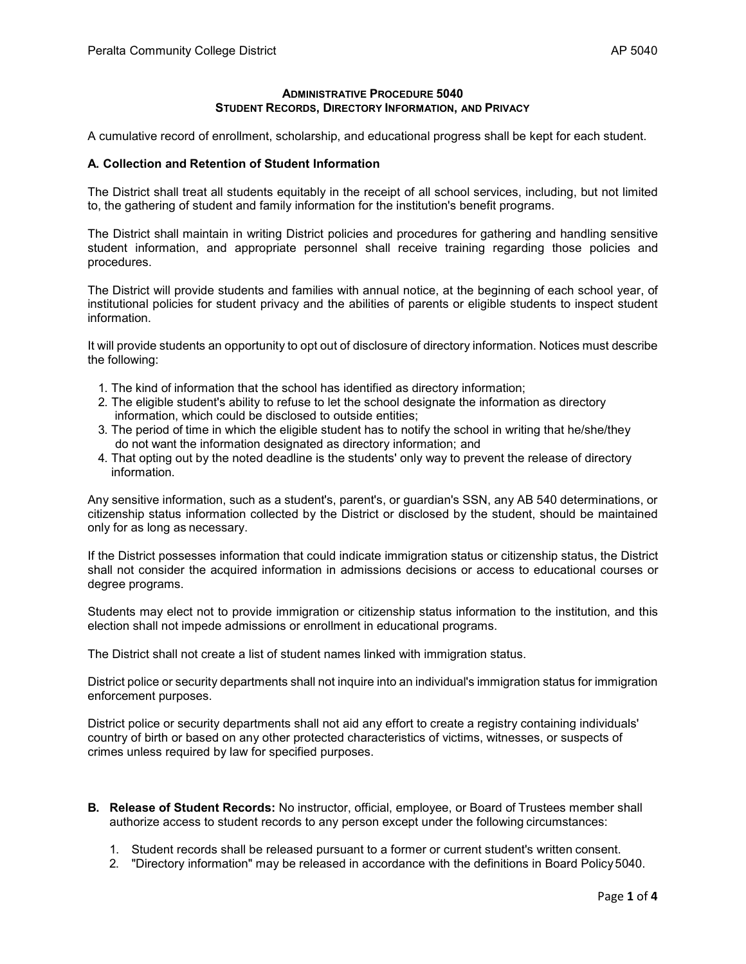## **ADMINISTRATIVE PROCEDURE 5040 STUDENT RECORDS, DIRECTORY INFORMATION, AND PRIVACY**

A cumulative record of enrollment, scholarship, and educational progress shall be kept for each student.

## **A. Collection and Retention of Student Information**

The District shall treat all students equitably in the receipt of all school services, including, but not limited to, the gathering of student and family information for the institution's benefit programs.

The District shall maintain in writing District policies and procedures for gathering and handling sensitive student information, and appropriate personnel shall receive training regarding those policies and procedures.

The District will provide students and families with annual notice, at the beginning of each school year, of institutional policies for student privacy and the abilities of parents or eligible students to inspect student information.

It will provide students an opportunity to opt out of disclosure of directory information. Notices must describe the following:

- 1. The kind of information that the school has identified as directory information;
- 2. The eligible student's ability to refuse to let the school designate the information as directory information, which could be disclosed to outside entities;
- 3. The period of time in which the eligible student has to notify the school in writing that he/she/they do not want the information designated as directory information; and
- 4. That opting out by the noted deadline is the students' only way to prevent the release of directory information.

Any sensitive information, such as a student's, parent's, or guardian's SSN, any AB 540 determinations, or citizenship status information collected by the District or disclosed by the student, should be maintained only for as long as necessary.

If the District possesses information that could indicate immigration status or citizenship status, the District shall not consider the acquired information in admissions decisions or access to educational courses or degree programs.

Students may elect not to provide immigration or citizenship status information to the institution, and this election shall not impede admissions or enrollment in educational programs.

The District shall not create a list of student names linked with immigration status.

District police or security departments shall not inquire into an individual's immigration status for immigration enforcement purposes.

District police or security departments shall not aid any effort to create a registry containing individuals' country of birth or based on any other protected characteristics of victims, witnesses, or suspects of crimes unless required by law for specified purposes.

- **B. Release of Student Records:** No instructor, official, employee, or Board of Trustees member shall authorize access to student records to any person except under the following circumstances:
	- 1. Student records shall be released pursuant to a former or current student's written consent.
	- 2. "Directory information" may be released in accordance with the definitions in Board Policy5040.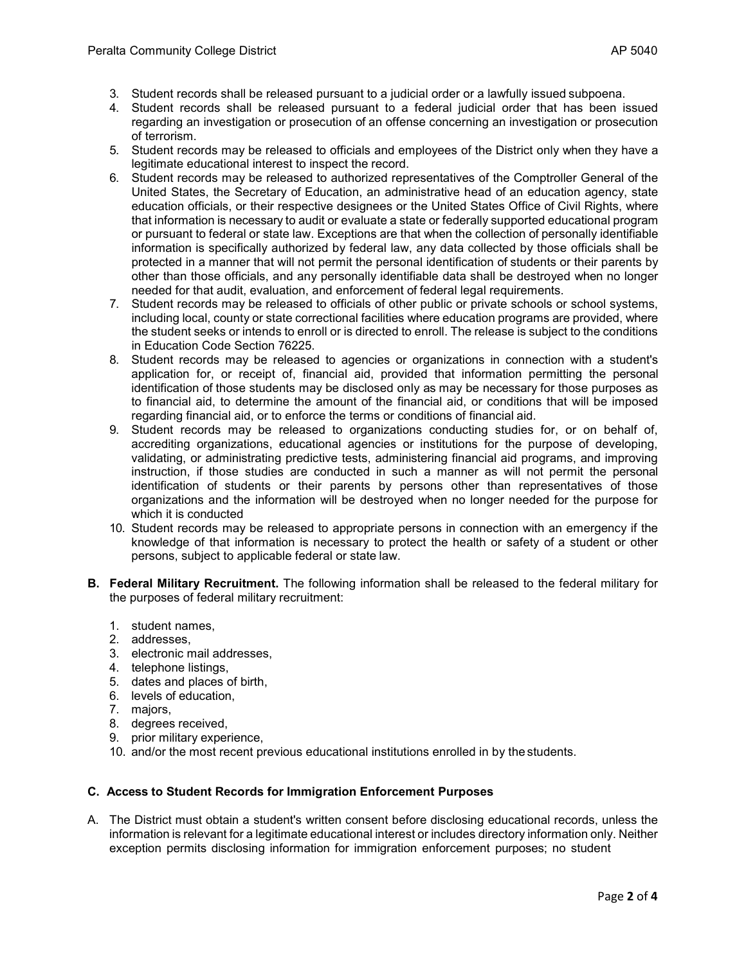- 3. Student records shall be released pursuant to a judicial order or a lawfully issued subpoena.
- 4. Student records shall be released pursuant to a federal judicial order that has been issued regarding an investigation or prosecution of an offense concerning an investigation or prosecution of terrorism.
- 5. Student records may be released to officials and employees of the District only when they have a legitimate educational interest to inspect the record.
- 6. Student records may be released to authorized representatives of the Comptroller General of the United States, the Secretary of Education, an administrative head of an education agency, state education officials, or their respective designees or the United States Office of Civil Rights, where that information is necessary to audit or evaluate a state or federally supported educational program or pursuant to federal or state law. Exceptions are that when the collection of personally identifiable information is specifically authorized by federal law, any data collected by those officials shall be protected in a manner that will not permit the personal identification of students or their parents by other than those officials, and any personally identifiable data shall be destroyed when no longer needed for that audit, evaluation, and enforcement of federal legal requirements.
- 7. Student records may be released to officials of other public or private schools or school systems, including local, county or state correctional facilities where education programs are provided, where the student seeks or intends to enroll or is directed to enroll. The release is subject to the conditions in Education Code Section 76225.
- 8. Student records may be released to agencies or organizations in connection with a student's application for, or receipt of, financial aid, provided that information permitting the personal identification of those students may be disclosed only as may be necessary for those purposes as to financial aid, to determine the amount of the financial aid, or conditions that will be imposed regarding financial aid, or to enforce the terms or conditions of financial aid.
- 9. Student records may be released to organizations conducting studies for, or on behalf of, accrediting organizations, educational agencies or institutions for the purpose of developing, validating, or administrating predictive tests, administering financial aid programs, and improving instruction, if those studies are conducted in such a manner as will not permit the personal identification of students or their parents by persons other than representatives of those organizations and the information will be destroyed when no longer needed for the purpose for which it is conducted
- 10. Student records may be released to appropriate persons in connection with an emergency if the knowledge of that information is necessary to protect the health or safety of a student or other persons, subject to applicable federal or state law.
- **B. Federal Military Recruitment.** The following information shall be released to the federal military for the purposes of federal military recruitment:
	- 1. student names,
	- 2. addresses,
	- 3. electronic mail addresses,
	- 4. telephone listings,
	- 5. dates and places of birth,
	- 6. levels of education,
	- 7. majors,
	- 8. degrees received,
	- 9. prior military experience,
	- 10. and/or the most recent previous educational institutions enrolled in by the students.

## **C. Access to Student Records for Immigration Enforcement Purposes**

A. The District must obtain a student's written consent before disclosing educational records, unless the information is relevant for a legitimate educational interest or includes directory information only. Neither exception permits disclosing information for immigration enforcement purposes; no student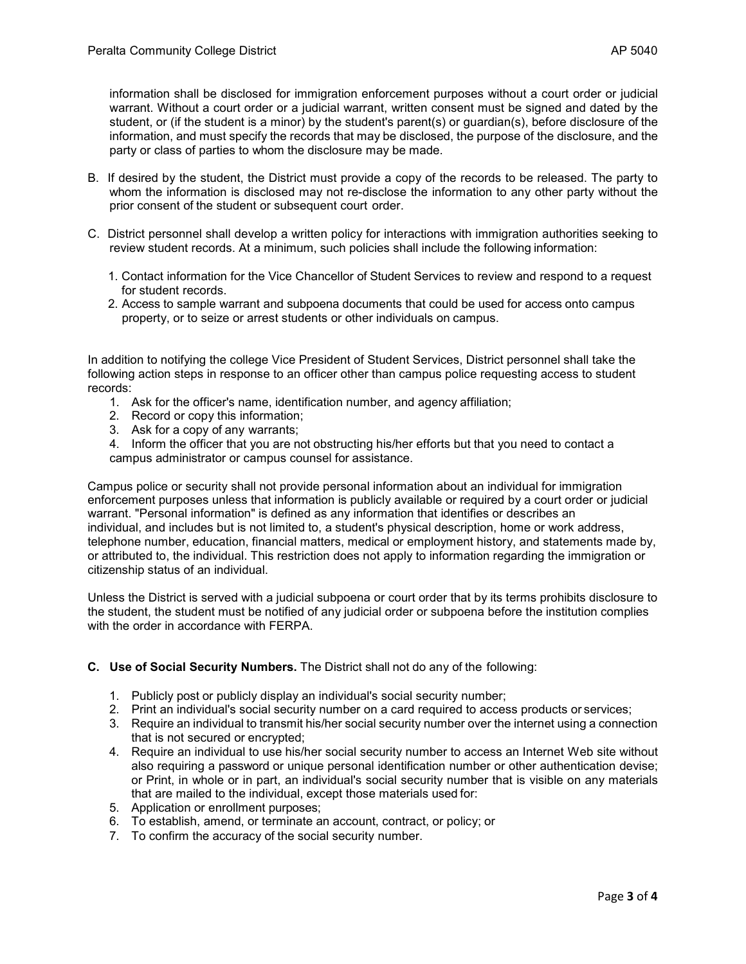information shall be disclosed for immigration enforcement purposes without a court order or judicial warrant. Without a court order or a judicial warrant, written consent must be signed and dated by the student, or (if the student is a minor) by the student's parent(s) or guardian(s), before disclosure of the information, and must specify the records that may be disclosed, the purpose of the disclosure, and the party or class of parties to whom the disclosure may be made.

- B. If desired by the student, the District must provide a copy of the records to be released. The party to whom the information is disclosed may not re-disclose the information to any other party without the prior consent of the student or subsequent court order.
- C. District personnel shall develop a written policy for interactions with immigration authorities seeking to review student records. At a minimum, such policies shall include the following information:
	- 1. Contact information for the Vice Chancellor of Student Services to review and respond to a request for student records.
	- 2. Access to sample warrant and subpoena documents that could be used for access onto campus property, or to seize or arrest students or other individuals on campus.

In addition to notifying the college Vice President of Student Services, District personnel shall take the following action steps in response to an officer other than campus police requesting access to student records:

- 1. Ask for the officer's name, identification number, and agency affiliation;
- 2. Record or copy this information;
- 3. Ask for a copy of any warrants;

4. Inform the officer that you are not obstructing his/her efforts but that you need to contact a campus administrator or campus counsel for assistance.

Campus police or security shall not provide personal information about an individual for immigration enforcement purposes unless that information is publicly available or required by a court order or judicial warrant. "Personal information" is defined as any information that identifies or describes an individual, and includes but is not limited to, a student's physical description, home or work address, telephone number, education, financial matters, medical or employment history, and statements made by, or attributed to, the individual. This restriction does not apply to information regarding the immigration or citizenship status of an individual.

Unless the District is served with a judicial subpoena or court order that by its terms prohibits disclosure to the student, the student must be notified of any judicial order or subpoena before the institution complies with the order in accordance with FERPA.

## **C. Use of Social Security Numbers.** The District shall not do any of the following:

- 1. Publicly post or publicly display an individual's social security number;
- 2. Print an individual's social security number on a card required to access products or services;
- 3. Require an individual to transmit his/her social security number over the internet using a connection that is not secured or encrypted;
- 4. Require an individual to use his/her social security number to access an Internet Web site without also requiring a password or unique personal identification number or other authentication devise; or Print, in whole or in part, an individual's social security number that is visible on any materials that are mailed to the individual, except those materials used for:
- 5. Application or enrollment purposes;
- 6. To establish, amend, or terminate an account, contract, or policy; or
- 7. To confirm the accuracy of the social security number.